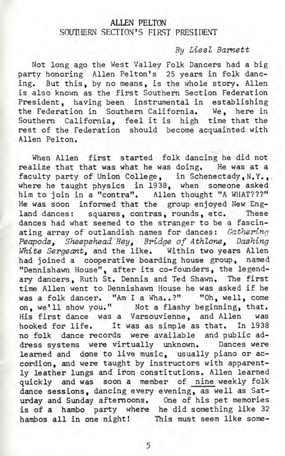## ALLEN PELTON SOUTHERN SECTION'S FIRST PRESIDENT

## By Liesl Barnett

Not long ago the West Valley Folk Dancers had a big party honoring Allen Pelton's 25 years in folk dancing. But this, by no means, is the whole story. Allen is also known as the first Southern Section Federation President, having been instrumental in establishing the Federation in Southern California. We, here in Southern California, feel it is high time that the rest of the Federation should become acquainted with Allen Pelton.

When Allen first started folk dancing he did not realize that that was what he was doing. He was at a faculty party of Union College, in Schenectady, N.Y., where he taught physics in 1938, when someone asked him to join in a "contra". Allen thought "A WHAT???" He was soon informed that the group enjoyed New England dances: squares, contras, rounds, etc. These dances had what seemed to the stranger to be a fascinating array of outlandish names for dances: **Gathering** Peapods, Sheepshead Hey, Bridge of Athlone, Dashing White Sergeant, and the like. Within two years Allen had joined a cooperative boarding house group, named "Dennishawn House", after its co-founders, the legendary dancers, Ruth St. Dennis and Ted Shawn. The first time Allen went to Dennishawn House he was asked if he was a folk dancer. "Am I a Wha..?" "Oh, well, come on, we'll show you." Not a flashy beginning, that. His first dance was a Varsouvienne, and Allen was hooked for life. It was as simple as that. In 1938 no folk dance records were available and public address systems were virtually unknown. Dances were learned and done to live music, usually piano or accordion, and were taught by instructors with apparently leather lungs and iron constitutions. Allen learned quickly and was soon a member of nine weekly folk dance sessions, dancing every evening, as well as Saturday and Sunday afternoons. One of his pet memories is of a hambo party where he did something like 32 hambos all in one night! This must seem like some-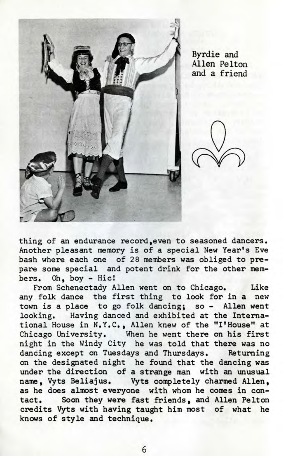

Byrdie and Allen Pelton and a friend

thing of an endurance record, even to seasoned dancers. Another pleasant memory is of a special New Year's Eve bash where each one of 28 members was obliged to prepare some special and potent drink for the other members. Oh, boy - Hic!

From Schenectady Allen went on to Chicago. Like any folk dance the first thing to look for in a new town is a place to go folk dancing; so - Allen went looking. Having danced and exhibited at the International House in N.Y.C., Allen knew of the "I1House" at Chicago University. When he went there on his first night in the Windy City he was told that there was no dancing except on Tuesdays and Thursdays. Returning on the designated night he found that the dancing was under the direction of a strange man with an unusual name, Vyts Beliajus. Vyts completely charmed Allen, as he does almost everyone with whom he comes in contact. Soon they were fast friends, and Allen Pelton credits Vyts with having taught him most of what he knows of style and technique.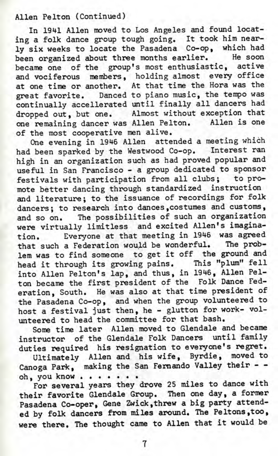## Allen Pelton (Continued)

In 1941 Allen moved to Los Angeles and found locatng a folk dance group tough going. It took him nearly six weeks to locate the Pasadena Co-op, which had been organized about three months earlier. He soon became one of the group's most enthusiastic, active and vociferous members, holding almost every office at one time or another. At that time the Hora was the great favorite. Danced to piano music, the tempo was continually accellerated until finally all dancers had dropped out, but one. Almost without exception that one remaining dancer was Allen Pelton. Allen is one of the most cooperative men alive.

One evening in 1946 Allen attended a meeting which had been sparked by the Westwood Co-op. Interest ran high in an organization such as had proved popular and useful in San Francisco - a group dedicated to sponsor festivals with participation from all clubs; to promote better dancing through standardized instruction and literature; to the issuance of recordings for folk dancers; to research into dances,costumes and customs, and so on. The possibilities of such an organization were virtually limitless and excited Allen's imagination. Everyone at that meeting in 1946 was agreed that such a Federation would be wonderful. The problem was to find someone to get it off the ground and head it through its growing pains. This "plum" fell into Allen Pelton's lap, and thus, in 1946, Allen Pelton became the first president of the Folk Dance Federation, South. He was also at that time president of the Pasadena Co-op, and when the group volunteered to host a festival just then, he - glutton for work- volunteered to head the committee for that bash.

Some time later Allen moved to Glendale and became instructor of the Glendale Folk Dancers until family duties required his resignation to everyone's regret.

Ultimately Allen and his wife, Byrdie, moved to Canoga Park, making the San Fernando Valley their -  $oh.$  you know  $\ldots$ ...

For several years they drove 25 miles to dance with their favorite Glendale Group. Then one day, a former Pasadena Co-oper, Gene Zwick,threw a big party attended by folk dancers from miles around. The Peltons,too, were there. The thought came to Allen that it would be